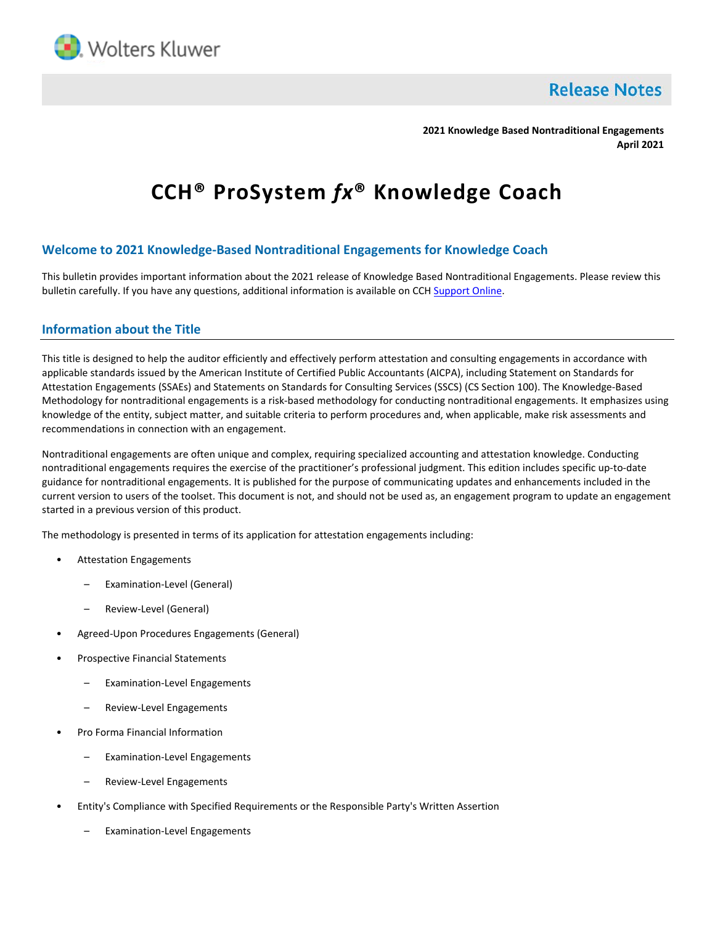

**Release Notes** 

**2021 Knowledge Based Nontraditional Engagements April 2021**

# **CCH® ProSystem** *fx***® Knowledge Coach**

## **Welcome to 2021 Knowledge-Based Nontraditional Engagements for Knowledge Coach**

This bulletin provides important information about the 2021 release of Knowledge Based Nontraditional Engagements. Please review this bulletin carefully. If you have any questions, additional information is available on CC[H Support Online.](http://support.cch.com/productsupport/)

### **Information about the Title**

This title is designed to help the auditor efficiently and effectively perform attestation and consulting engagements in accordance with applicable standards issued by the American Institute of Certified Public Accountants (AICPA), including Statement on Standards for Attestation Engagements (SSAEs) and Statements on Standards for Consulting Services (SSCS) (CS Section 100). The Knowledge-Based Methodology for nontraditional engagements is a risk-based methodology for conducting nontraditional engagements. It emphasizes using knowledge of the entity, subject matter, and suitable criteria to perform procedures and, when applicable, make risk assessments and recommendations in connection with an engagement.

Nontraditional engagements are often unique and complex, requiring specialized accounting and attestation knowledge. Conducting nontraditional engagements requires the exercise of the practitioner's professional judgment. This edition includes specific up-to-date guidance for nontraditional engagements. It is published for the purpose of communicating updates and enhancements included in the current version to users of the toolset. This document is not, and should not be used as, an engagement program to update an engagement started in a previous version of this product.

The methodology is presented in terms of its application for attestation engagements including:

- Attestation Engagements
	- Examination-Level (General)
	- Review-Level (General)
- Agreed-Upon Procedures Engagements (General)
- Prospective Financial Statements
	- Examination-Level Engagements
	- Review-Level Engagements
- Pro Forma Financial Information
	- Examination-Level Engagements
	- Review-Level Engagements
- Entity's Compliance with Specified Requirements or the Responsible Party's Written Assertion
	- Examination-Level Engagements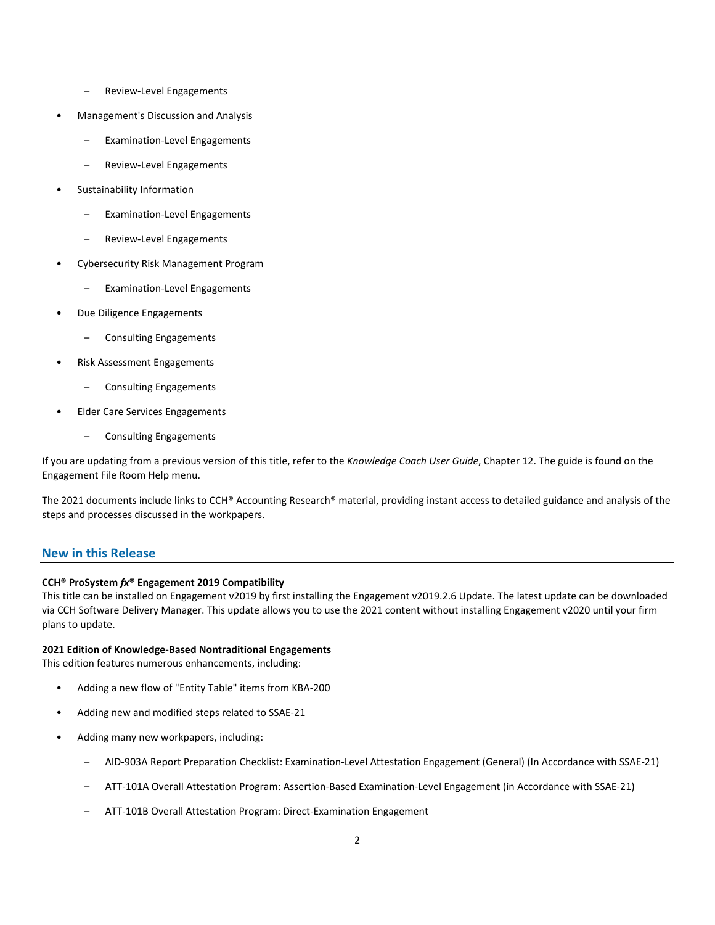- Review-Level Engagements
- Management's Discussion and Analysis
	- Examination-Level Engagements
	- Review-Level Engagements
- Sustainability Information
	- Examination-Level Engagements
	- Review-Level Engagements
- Cybersecurity Risk Management Program
	- Examination-Level Engagements
- Due Diligence Engagements
	- Consulting Engagements
- Risk Assessment Engagements
	- Consulting Engagements
- Elder Care Services Engagements
	- Consulting Engagements

If you are updating from a previous version of this title, refer to the *Knowledge Coach User Guide*, Chapter 12. The guide is found on the Engagement File Room Help menu.

The 2021 documents include links to CCH® Accounting Research® material, providing instant access to detailed guidance and analysis of the steps and processes discussed in the workpapers.

## **New in this Release**

#### **CCH® ProSystem** *fx***® Engagement 2019 Compatibility**

This title can be installed on Engagement v2019 by first installing the Engagement v2019.2.6 Update. The latest update can be downloaded via CCH Software Delivery Manager. This update allows you to use the 2021 content without installing Engagement v2020 until your firm plans to update.

#### **2021 Edition of Knowledge-Based Nontraditional Engagements**

This edition features numerous enhancements, including:

- Adding a new flow of "Entity Table" items from KBA-200
- Adding new and modified steps related to SSAE-21
- Adding many new workpapers, including:
	- AID-903A Report Preparation Checklist: Examination-Level Attestation Engagement (General) (In Accordance with SSAE-21)
	- ATT-101A Overall Attestation Program: Assertion-Based Examination-Level Engagement (in Accordance with SSAE-21)
	- ATT-101B Overall Attestation Program: Direct-Examination Engagement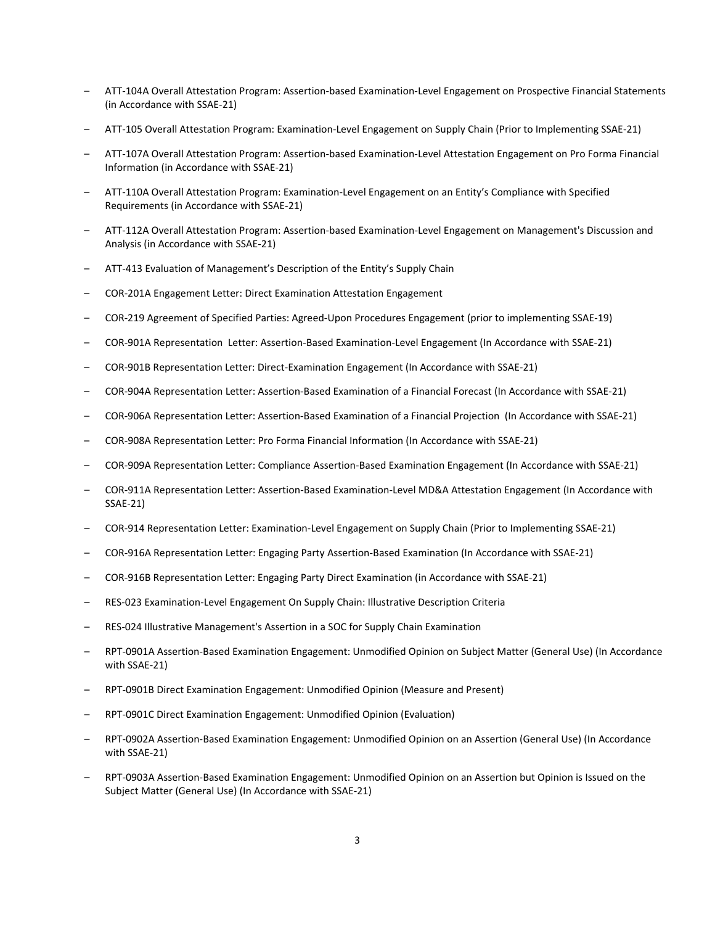- ATT-104A Overall Attestation Program: Assertion-based Examination-Level Engagement on Prospective Financial Statements (in Accordance with SSAE-21)
- ATT-105 Overall Attestation Program: Examination-Level Engagement on Supply Chain (Prior to Implementing SSAE-21)
- ATT-107A Overall Attestation Program: Assertion-based Examination-Level Attestation Engagement on Pro Forma Financial Information (in Accordance with SSAE-21)
- ATT-110A Overall Attestation Program: Examination-Level Engagement on an Entity's Compliance with Specified Requirements (in Accordance with SSAE-21)
- ATT-112A Overall Attestation Program: Assertion-based Examination-Level Engagement on Management's Discussion and Analysis (in Accordance with SSAE-21)
- ATT-413 Evaluation of Management's Description of the Entity's Supply Chain
- COR-201A Engagement Letter: Direct Examination Attestation Engagement
- COR-219 Agreement of Specified Parties: Agreed-Upon Procedures Engagement (prior to implementing SSAE-19)
- COR-901A Representation Letter: Assertion-Based Examination-Level Engagement (In Accordance with SSAE-21)
- COR-901B Representation Letter: Direct-Examination Engagement (In Accordance with SSAE-21)
- COR-904A Representation Letter: Assertion-Based Examination of a Financial Forecast (In Accordance with SSAE-21)
- COR-906A Representation Letter: Assertion-Based Examination of a Financial Projection (In Accordance with SSAE-21)
- COR-908A Representation Letter: Pro Forma Financial Information (In Accordance with SSAE-21)
- COR-909A Representation Letter: Compliance Assertion-Based Examination Engagement (In Accordance with SSAE-21)
- COR-911A Representation Letter: Assertion-Based Examination-Level MD&A Attestation Engagement (In Accordance with SSAE-21)
- COR-914 Representation Letter: Examination-Level Engagement on Supply Chain (Prior to Implementing SSAE-21)
- COR-916A Representation Letter: Engaging Party Assertion-Based Examination (In Accordance with SSAE-21)
- COR-916B Representation Letter: Engaging Party Direct Examination (in Accordance with SSAE-21)
- RES-023 Examination-Level Engagement On Supply Chain: Illustrative Description Criteria
- RES-024 Illustrative Management's Assertion in a SOC for Supply Chain Examination
- RPT-0901A Assertion-Based Examination Engagement: Unmodified Opinion on Subject Matter (General Use) (In Accordance with SSAE-21)
- RPT-0901B Direct Examination Engagement: Unmodified Opinion (Measure and Present)
- RPT-0901C Direct Examination Engagement: Unmodified Opinion (Evaluation)
- RPT-0902A Assertion-Based Examination Engagement: Unmodified Opinion on an Assertion (General Use) (In Accordance with SSAE-21)
- RPT-0903A Assertion-Based Examination Engagement: Unmodified Opinion on an Assertion but Opinion is Issued on the Subject Matter (General Use) (In Accordance with SSAE-21)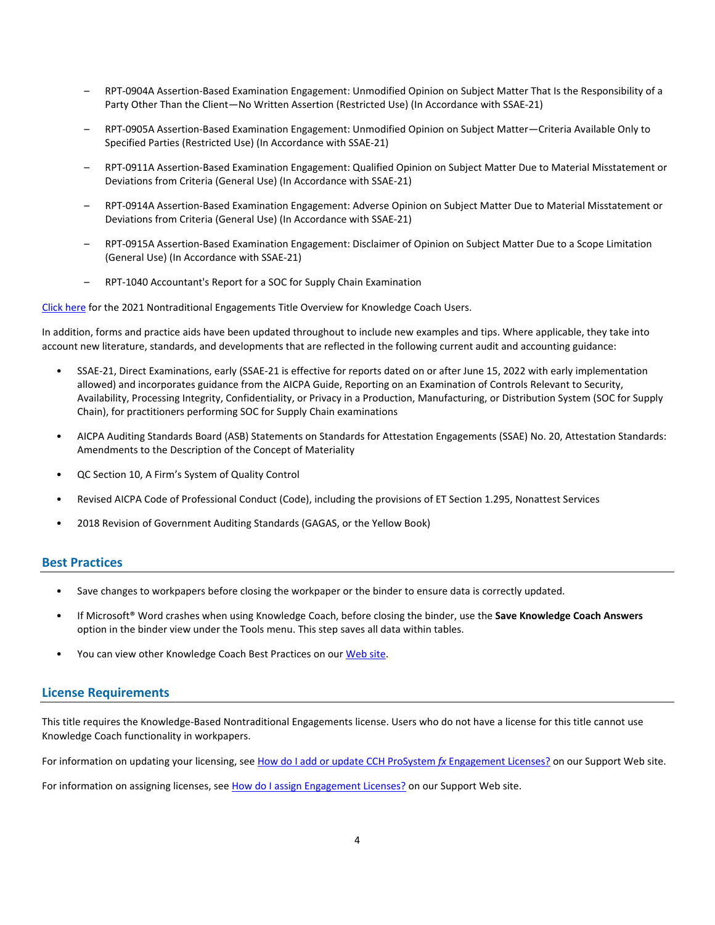- RPT-0904A Assertion-Based Examination Engagement: Unmodified Opinion on Subject Matter That Is the Responsibility of a Party Other Than the Client—No Written Assertion (Restricted Use) (In Accordance with SSAE-21)
- RPT-0905A Assertion-Based Examination Engagement: Unmodified Opinion on Subject Matter—Criteria Available Only to Specified Parties (Restricted Use) (In Accordance with SSAE-21)
- RPT-0911A Assertion-Based Examination Engagement: Qualified Opinion on Subject Matter Due to Material Misstatement or Deviations from Criteria (General Use) (In Accordance with SSAE-21)
- RPT-0914A Assertion-Based Examination Engagement: Adverse Opinion on Subject Matter Due to Material Misstatement or Deviations from Criteria (General Use) (In Accordance with SSAE-21)
- RPT-0915A Assertion-Based Examination Engagement: Disclaimer of Opinion on Subject Matter Due to a Scope Limitation (General Use) (In Accordance with SSAE-21)
- RPT-1040 Accountant's Report for a SOC for Supply Chain Examination

[Click here](http://support.cch.com/updates/KnowledgeCoach/pdf/guides_tab/2021%20Nontraditional%20Engagements%20Title%20Overview%20for%20Knowledge%20Coach%20Users.pdf) for the 2021 Nontraditional Engagements Title Overview for Knowledge Coach Users.

In addition, forms and practice aids have been updated throughout to include new examples and tips. Where applicable, they take into account new literature, standards, and developments that are reflected in the following current audit and accounting guidance:

- SSAE-21, Direct Examinations, early (SSAE-21 is effective for reports dated on or after June 15, 2022 with early implementation allowed) and incorporates guidance from the AICPA Guide, Reporting on an Examination of Controls Relevant to Security, Availability, Processing Integrity, Confidentiality, or Privacy in a Production, Manufacturing, or Distribution System (SOC for Supply Chain), for practitioners performing SOC for Supply Chain examinations
- AICPA Auditing Standards Board (ASB) Statements on Standards for Attestation Engagements (SSAE) No. 20, Attestation Standards: Amendments to the Description of the Concept of Materiality
- QC Section 10, A Firm's System of Quality Control
- Revised AICPA Code of Professional Conduct (Code), including the provisions of ET Section 1.295, Nonattest Services
- 2018 Revision of Government Auditing Standards (GAGAS, or the Yellow Book)

#### **Best Practices**

- Save changes to workpapers before closing the workpaper or the binder to ensure data is correctly updated.
- If Microsoft® Word crashes when using Knowledge Coach, before closing the binder, use the **Save Knowledge Coach Answers** option in the binder view under the Tools menu. This step saves all data within tables.
- You can view other Knowledge Coach Best Practices on ou[r Web](https://support.cch.com/kb/solution/000034942/sw34947) site.

#### **License Requirements**

This title requires the Knowledge-Based Nontraditional Engagements license. Users who do not have a license for this title cannot use Knowledge Coach functionality in workpapers.

For information on updating your licensing, see [How do I add or update CCH ProSystem](https://support.cch.com/kb/solution.aspx/sw3937) *fx* Engagement Licenses? on our Support Web site.

For information on assigning licenses, see [How do I assign Engagement Licenses?](https://support.cch.com/kb/solution.aspx/sw3943) on our Support Web site.